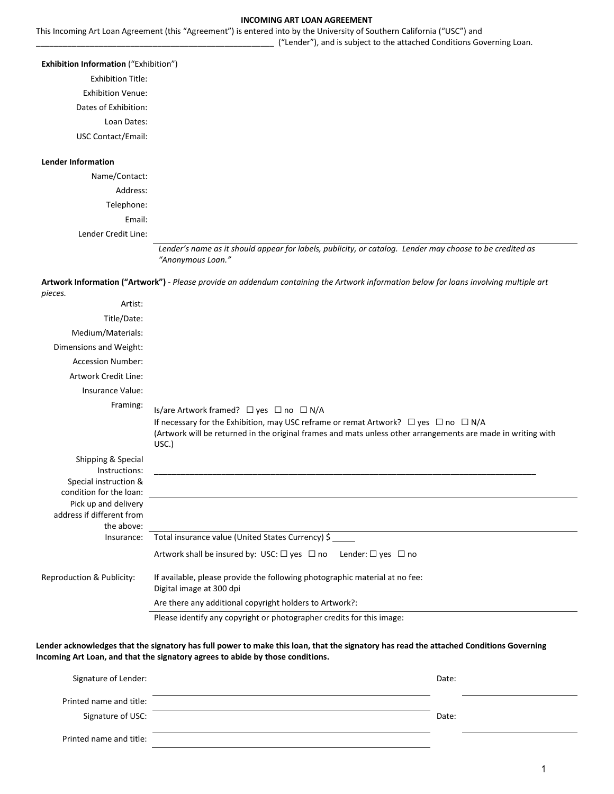#### **INCOMING ART LOAN AGREEMENT**

This Incoming Art Loan Agreement (this "Agreement") is entered into by the University of Southern California ("USC") and \_\_\_\_\_\_\_\_\_\_\_\_\_\_\_\_\_\_\_\_\_\_\_\_\_\_\_\_\_\_\_\_\_\_\_\_\_\_\_\_\_\_\_\_\_\_\_\_\_\_\_\_\_ ("Lender"), and is subject to the attached Conditions Governing Loan.

### **Exhibition Information** ("Exhibition")

Exhibition Title:

Exhibition Venue:

Dates of Exhibition:

Loan Dates:

USC Contact/Email:

### **Lender Information**

Name/Contact: Address: Telephone: Email:

Lender Credit Line:

*Lender's name as it should appear for labels, publicity, or catalog. Lender may choose to be credited as "Anonymous Loan."*

**Artwork Information ("Artwork")** - *Please provide an addendum containing the Artwork information below for loans involving multiple art* 

| pieces.                                                                                                         |                                                                                                                                                                                                                                                                       |
|-----------------------------------------------------------------------------------------------------------------|-----------------------------------------------------------------------------------------------------------------------------------------------------------------------------------------------------------------------------------------------------------------------|
| Artist:                                                                                                         |                                                                                                                                                                                                                                                                       |
| Title/Date:                                                                                                     |                                                                                                                                                                                                                                                                       |
| Medium/Materials:                                                                                               |                                                                                                                                                                                                                                                                       |
| Dimensions and Weight:                                                                                          |                                                                                                                                                                                                                                                                       |
| <b>Accession Number:</b>                                                                                        |                                                                                                                                                                                                                                                                       |
| Artwork Credit Line:                                                                                            |                                                                                                                                                                                                                                                                       |
| Insurance Value:                                                                                                |                                                                                                                                                                                                                                                                       |
| Framing:                                                                                                        | Is/are Artwork framed? □ yes □ no □ N/A<br>If necessary for the Exhibition, may USC reframe or remat Artwork? $\Box$ yes $\Box$ no $\Box$ N/A<br>(Artwork will be returned in the original frames and mats unless other arrangements are made in writing with<br>USC. |
| Shipping & Special<br>Instructions:<br>Special instruction &<br>condition for the loan:<br>Pick up and delivery |                                                                                                                                                                                                                                                                       |
| address if different from                                                                                       |                                                                                                                                                                                                                                                                       |
| the above:                                                                                                      |                                                                                                                                                                                                                                                                       |
| Insurance:                                                                                                      | Total insurance value (United States Currency) \$                                                                                                                                                                                                                     |
|                                                                                                                 | Artwork shall be insured by: USC: $\Box$ yes $\Box$ no Lender: $\Box$ yes $\Box$ no                                                                                                                                                                                   |
| Reproduction & Publicity:                                                                                       | If available, please provide the following photographic material at no fee:<br>Digital image at 300 dpi                                                                                                                                                               |
|                                                                                                                 | Are there any additional copyright holders to Artwork?:                                                                                                                                                                                                               |
|                                                                                                                 | Please identify any copyright or photographer credits for this image:                                                                                                                                                                                                 |

**Lender acknowledges that the signatory has full power to make this loan, that the signatory has read the attached Conditions Governing Incoming Art Loan, and that the signatory agrees to abide by those conditions.**

| Signature of Lender:    | Date: |  |
|-------------------------|-------|--|
| Printed name and title: |       |  |
| Signature of USC:       | Date: |  |
| Printed name and title: |       |  |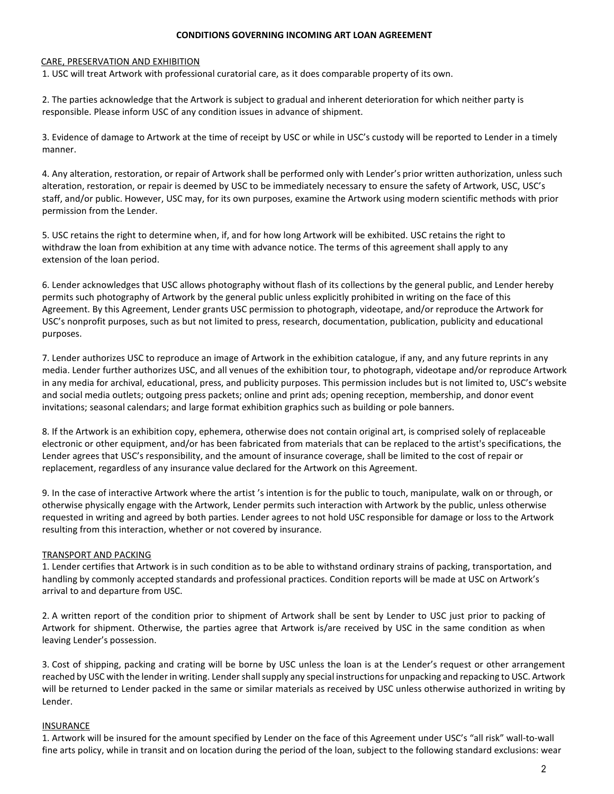### **CONDITIONS GOVERNING INCOMING ART LOAN AGREEMENT**

### CARE, PRESERVATION AND EXHIBITION

1. USC will treat Artwork with professional curatorial care, as it does comparable property of its own.

2. The parties acknowledge that the Artwork is subject to gradual and inherent deterioration for which neither party is responsible. Please inform USC of any condition issues in advance of shipment.

3. Evidence of damage to Artwork at the time of receipt by USC or while in USC's custody will be reported to Lender in a timely manner.

4. Any alteration, restoration, or repair of Artwork shall be performed only with Lender's prior written authorization, unless such alteration, restoration, or repair is deemed by USC to be immediately necessary to ensure the safety of Artwork, USC, USC's staff, and/or public. However, USC may, for its own purposes, examine the Artwork using modern scientific methods with prior permission from the Lender.

5. USC retains the right to determine when, if, and for how long Artwork will be exhibited. USC retains the right to withdraw the loan from exhibition at any time with advance notice. The terms of this agreement shall apply to any extension of the loan period.

6. Lender acknowledges that USC allows photography without flash of its collections by the general public, and Lender hereby permits such photography of Artwork by the general public unless explicitly prohibited in writing on the face of this Agreement. By this Agreement, Lender grants USC permission to photograph, videotape, and/or reproduce the Artwork for USC's nonprofit purposes, such as but not limited to press, research, documentation, publication, publicity and educational purposes.

7. Lender authorizes USC to reproduce an image of Artwork in the exhibition catalogue, if any, and any future reprints in any media. Lender further authorizes USC, and all venues of the exhibition tour, to photograph, videotape and/or reproduce Artwork in any media for archival, educational, press, and publicity purposes. This permission includes but is not limited to, USC's website and social media outlets; outgoing press packets; online and print ads; opening reception, membership, and donor event invitations; seasonal calendars; and large format exhibition graphics such as building or pole banners.

8. If the Artwork is an exhibition copy, ephemera, otherwise does not contain original art, is comprised solely of replaceable electronic or other equipment, and/or has been fabricated from materials that can be replaced to the artist's specifications, the Lender agrees that USC's responsibility, and the amount of insurance coverage, shall be limited to the cost of repair or replacement, regardless of any insurance value declared for the Artwork on this Agreement.

9. In the case of interactive Artwork where the artist 's intention is for the public to touch, manipulate, walk on or through, or otherwise physically engage with the Artwork, Lender permits such interaction with Artwork by the public, unless otherwise requested in writing and agreed by both parties. Lender agrees to not hold USC responsible for damage or loss to the Artwork resulting from this interaction, whether or not covered by insurance.

### TRANSPORT AND PACKING

1. Lender certifies that Artwork is in such condition as to be able to withstand ordinary strains of packing, transportation, and handling by commonly accepted standards and professional practices. Condition reports will be made at USC on Artwork's arrival to and departure from USC.

2. A written report of the condition prior to shipment of Artwork shall be sent by Lender to USC just prior to packing of Artwork for shipment. Otherwise, the parties agree that Artwork is/are received by USC in the same condition as when leaving Lender's possession.

3. Cost of shipping, packing and crating will be borne by USC unless the loan is at the Lender's request or other arrangement reached by USC with the lender in writing. Lender shall supply any special instructions for unpacking and repacking to USC. Artwork will be returned to Lender packed in the same or similar materials as received by USC unless otherwise authorized in writing by Lender.

### INSURANCE

1. Artwork will be insured for the amount specified by Lender on the face of this Agreement under USC's "all risk" wall-to-wall fine arts policy, while in transit and on location during the period of the loan, subject to the following standard exclusions: wear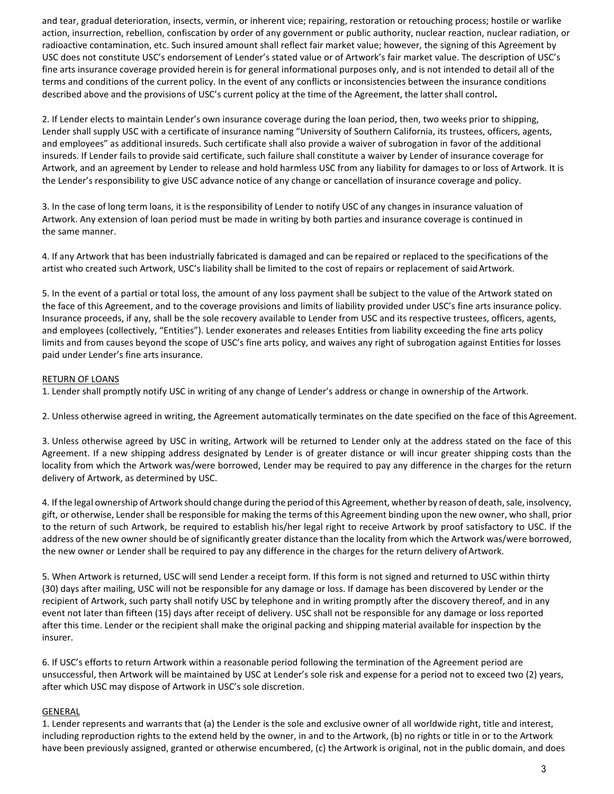and tear, gradual deterioration, insects, vermin, or inherent vice; repairing, restoration or retouching process; hostile or warlike action, insurrection, rebellion, confiscation by order of any government or public authority, nuclear reaction, nuclear radiation, or radioactive contamination, etc. Such insured amount shall reflect fair market value; however, the signing of this Agreement by USC does not constitute USC's endorsement of Lender's stated value or of Artwork's fair market value. The description of USC's fine arts insurance coverage provided herein is for general informational purposes only, and is not intended to detail all of the terms and conditions of the current policy. In the event of any conflicts or inconsistencies between the insurance conditions described above and the provisions of USC's current policy at the time of the Agreement, the latter shall control**.**

2. If Lender elects to maintain Lender's own insurance coverage during the loan period, then, two weeks prior to shipping, Lender shall supply USC with a certificate of insurance naming "University of Southern California, its trustees, officers, agents, and employees" as additional insureds. Such certificate shall also provide a waiver of subrogation in favor of the additional insureds. If Lender fails to provide said certificate, such failure shall constitute a waiver by Lender of insurance coverage for Artwork, and an agreement by Lender to release and hold harmless USC from any liability for damages to or loss of Artwork. It is the Lender's responsibility to give USC advance notice of any change or cancellation of insurance coverage and policy.

3. In the case of long term loans, it is the responsibility of Lender to notify USC of any changes in insurance valuation of Artwork. Any extension of loan period must be made in writing by both parties and insurance coverage is continued in the same manner.

4. If any Artwork that has been industrially fabricated is damaged and can be repaired or replaced to the specifications of the artist who created such Artwork, USC's liability shall be limited to the cost of repairs or replacement of saidArtwork.

5. In the event of a partial or total loss, the amount of any loss payment shall be subject to the value of the Artwork stated on the face of this Agreement, and to the coverage provisions and limits of liability provided under USC's fine arts insurance policy. Insurance proceeds, if any, shall be the sole recovery available to Lender from USC and its respective trustees, officers, agents, and employees (collectively, "Entities"). Lender exonerates and releases Entities from liability exceeding the fine arts policy limits and from causes beyond the scope of USC's fine arts policy, and waives any right of subrogation against Entities for losses paid under Lender's fine arts insurance.

### RETURN OF LOANS

1. Lender shall promptly notify USC in writing of any change of Lender's address or change in ownership of the Artwork.

2. Unless otherwise agreed in writing, the Agreement automatically terminates on the date specified on the face of this Agreement.

3. Unless otherwise agreed by USC in writing, Artwork will be returned to Lender only at the address stated on the face of this Agreement. If a new shipping address designated by Lender is of greater distance or will incur greater shipping costs than the locality from which the Artwork was/were borrowed, Lender may be required to pay any difference in the charges for the return delivery of Artwork, as determined by USC.

4. If the legal ownership of Artwork should change during the period of this Agreement, whether by reason of death, sale, insolvency, gift, or otherwise, Lender shall be responsible for making the terms of this Agreement binding upon the new owner, who shall, prior to the return of such Artwork, be required to establish his/her legal right to receive Artwork by proof satisfactory to USC. If the address of the new owner should be of significantly greater distance than the locality from which the Artwork was/were borrowed, the new owner or Lender shall be required to pay any difference in the charges for the return delivery ofArtwork.

5. When Artwork is returned, USC will send Lender a receipt form. If this form is not signed and returned to USC within thirty (30) days after mailing, USC will not be responsible for any damage or loss. If damage has been discovered by Lender or the recipient of Artwork, such party shall notify USC by telephone and in writing promptly after the discovery thereof, and in any event not later than fifteen (15) days after receipt of delivery. USC shall not be responsible for any damage or loss reported after this time. Lender or the recipient shall make the original packing and shipping material available for inspection by the insurer.

6. If USC's efforts to return Artwork within a reasonable period following the termination of the Agreement period are unsuccessful, then Artwork will be maintained by USC at Lender's sole risk and expense for a period not to exceed two (2) years, after which USC may dispose of Artwork in USC's sole discretion.

## GENERAL

1. Lender represents and warrants that (a) the Lender is the sole and exclusive owner of all worldwide right, title and interest, including reproduction rights to the extend held by the owner, in and to the Artwork, (b) no rights or title in or to the Artwork have been previously assigned, granted or otherwise encumbered, (c) the Artwork is original, not in the public domain, and does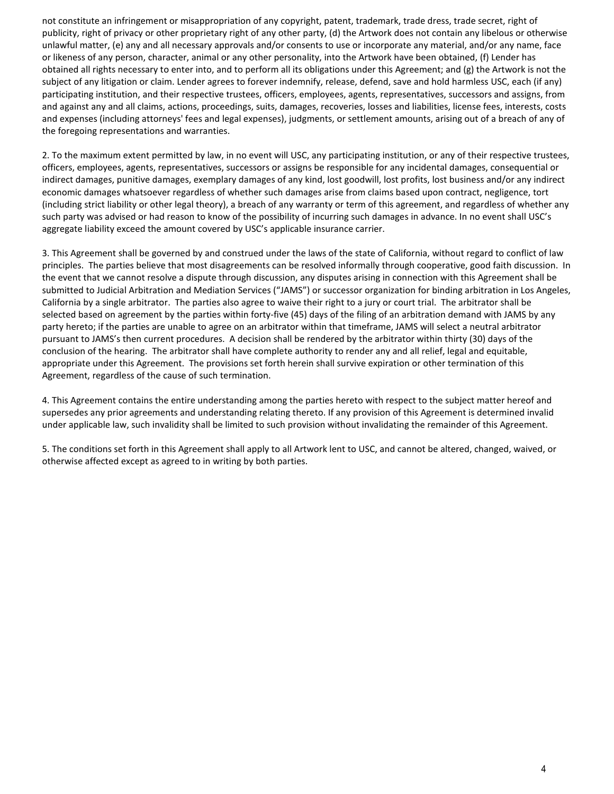not constitute an infringement or misappropriation of any copyright, patent, trademark, trade dress, trade secret, right of publicity, right of privacy or other proprietary right of any other party, (d) the Artwork does not contain any libelous or otherwise unlawful matter, (e) any and all necessary approvals and/or consents to use or incorporate any material, and/or any name, face or likeness of any person, character, animal or any other personality, into the Artwork have been obtained, (f) Lender has obtained all rights necessary to enter into, and to perform all its obligations under this Agreement; and (g) the Artwork is not the subject of any litigation or claim. Lender agrees to forever indemnify, release, defend, save and hold harmless USC, each (if any) participating institution, and their respective trustees, officers, employees, agents, representatives, successors and assigns, from and against any and all claims, actions, proceedings, suits, damages, recoveries, losses and liabilities, license fees, interests, costs and expenses (including attorneys' fees and legal expenses), judgments, or settlement amounts, arising out of a breach of any of the foregoing representations and warranties.

2. To the maximum extent permitted by law, in no event will USC, any participating institution, or any of their respective trustees, officers, employees, agents, representatives, successors or assigns be responsible for any incidental damages, consequential or indirect damages, punitive damages, exemplary damages of any kind, lost goodwill, lost profits, lost business and/or any indirect economic damages whatsoever regardless of whether such damages arise from claims based upon contract, negligence, tort (including strict liability or other legal theory), a breach of any warranty or term of this agreement, and regardless of whether any such party was advised or had reason to know of the possibility of incurring such damages in advance. In no event shall USC's aggregate liability exceed the amount covered by USC's applicable insurance carrier.

3. This Agreement shall be governed by and construed under the laws of the state of California, without regard to conflict of law principles. The parties believe that most disagreements can be resolved informally through cooperative, good faith discussion. In the event that we cannot resolve a dispute through discussion, any disputes arising in connection with this Agreement shall be submitted to Judicial Arbitration and Mediation Services ("JAMS") or successor organization for binding arbitration in Los Angeles, California by a single arbitrator. The parties also agree to waive their right to a jury or court trial. The arbitrator shall be selected based on agreement by the parties within forty-five (45) days of the filing of an arbitration demand with JAMS by any party hereto; if the parties are unable to agree on an arbitrator within that timeframe, JAMS will select a neutral arbitrator pursuant to JAMS's then current procedures. A decision shall be rendered by the arbitrator within thirty (30) days of the conclusion of the hearing. The arbitrator shall have complete authority to render any and all relief, legal and equitable, appropriate under this Agreement. The provisions set forth herein shall survive expiration or other termination of this Agreement, regardless of the cause of such termination.

4. This Agreement contains the entire understanding among the parties hereto with respect to the subject matter hereof and supersedes any prior agreements and understanding relating thereto. If any provision of this Agreement is determined invalid under applicable law, such invalidity shall be limited to such provision without invalidating the remainder of this Agreement.

5. The conditions set forth in this Agreement shall apply to all Artwork lent to USC, and cannot be altered, changed, waived, or otherwise affected except as agreed to in writing by both parties.